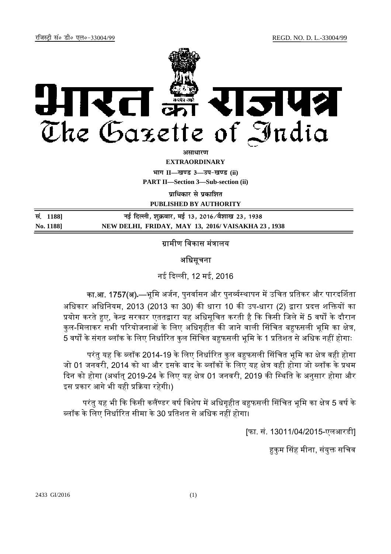

असाधा**र**ण

**EXTRAORDINARY**

**Hkkx II—[k.M 3—mi&[k.M (ii)**

**PART II—Section 3—Sub-section (ii)** 

**पाधिकार से पका**शित

**PUBLISHED BY AUTHORITY**

| सं. 11881 | नई दिल्ली, शुक्रवार, मई 13, 2016 ∕वैशाख 23, 1938   |
|-----------|----------------------------------------------------|
| No. 1188  | NEW DELHI, FRIDAY, MAY 13, 2016/ VAISAKHA 23, 1938 |

## ग्रामीण विकास मंत्रालय

## अधिसूचना

नई ᳰद᭨ली, 12 मई, 2016

का.आ. 1757(अ).—भूमि अर्जन, पुनर्वासन और पुनर्व्यस्थापन में उचित प्रतिकर और पारदर्शिता अधिकार अधिनियम, 2013 (2013 का 30) की धारा 10 की उप-धारा (2) द्वारा प्रदत्त शक्तियों का प्रयोग करते हुए, केन्द्र सरकार एततद्वारा यह अधिसूचित करती है कि किसी जिले में 5 वर्षों के दौरान कुल-मिलाकर सभी परियोजनाओं के लिए अधिगृहीत की जाने वाली सिंचित बहफसली भूमि का क्षेत्र, ्<br>5 वर्षों के संगत ब्लॉक के लिए निर्धारित कुल सिंचित बहफसली भूमि के 1 प्रतिशत से अधिक नहीं होगाः

परंतु यह कि ब्लॉक 2014-19 के लिए निर्धारित कुल बहुफसली सिंचित भूमि का क्षेत्र वही होगा जो 01 जनवरी, 2014 को था और इसके बाद के ब्लॉकों के लिए यह क्षेत्र वही होगा जो ब्लॉक के प्रथम दिन को होगा (अर्थात् 2019-24 के लिए यह क्षेत्र 01 जनवरी, 2019 की स्थिति के अनुसार होगा और इस प्रकार आगे भी यही प्रक्रिया रहेगी।)

परंतु यह भी कि किसी कलैंण्डर वर्ष विशेष में अधिगृहीत बहुफसली सिंचित भूमि का क्षेत्र 5 वर्ष के ब्लॉक के लिए निर्धारित सीमा के 30 प्रतिशत से अधिक नहीं होगा।

[फा. सं. 13011/04/2015-एलआरडी]

हकम सिंह मीना, संयक्त सचिव